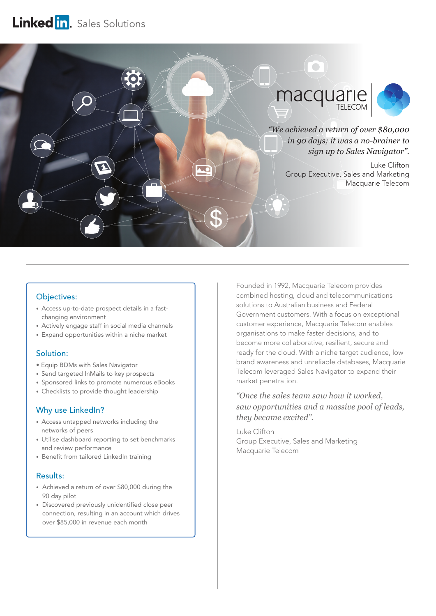# Linked in. Sales Solutions



## Objectives:

- Access up-to-date prospect details in a fastchanging environment
- Actively engage staff in social media channels
- Expand opportunities within a niche market

# Solution:

- Equip BDMs with Sales Navigator
- Send targeted InMails to key prospects
- Sponsored links to promote numerous eBooks
- Checklists to provide thought leadership

# Why use LinkedIn?

- Access untapped networks including the networks of peers
- Utilise dashboard reporting to set benchmarks and review performance
- Benefit from tailored LinkedIn training

#### Results:

- Achieved a return of over \$80,000 during the 90 day pilot
- Discovered previously unidentified close peer connection, resulting in an account which drives over \$85,000 in revenue each month

Founded in 1992, Macquarie Telecom provides combined hosting, cloud and telecommunications solutions to Australian business and Federal Government customers. With a focus on exceptional customer experience, Macquarie Telecom enables organisations to make faster decisions, and to become more collaborative, resilient, secure and ready for the cloud. With a niche target audience, low brand awareness and unreliable databases, Macquarie Telecom leveraged Sales Navigator to expand their market penetration.

*"Once the sales team saw how it worked, saw opportunities and a massive pool of leads, they became excited".* 

Luke Clifton Group Executive, Sales and Marketing Macquarie Telecom